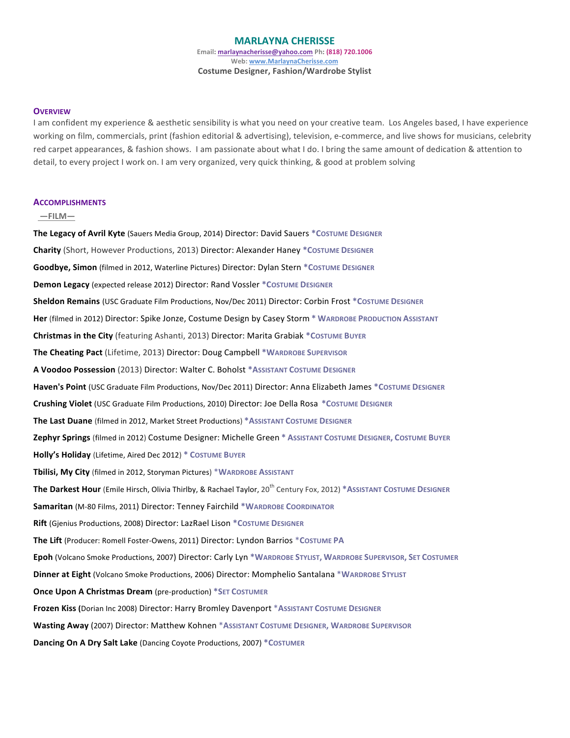### **MARLAYNA'CHERISSE** Email: **marlaynacherisse@yahoo.com** Ph: (818) 720.1006 **Web: www.MarlaynaCherisse.com Costume Designer, Fashion/Wardrobe Stylist**

#### **OVERVIEW**

I am confident my experience & aesthetic sensibility is what you need on your creative team. Los Angeles based, I have experience working on film, commercials, print (fashion editorial & advertising), television, e-commerce, and live shows for musicians, celebrity red carpet appearances, & fashion shows. I am passionate about what I do. I bring the same amount of dedication & attention to detail, to every project I work on. I am very organized, very quick thinking, & good at problem solving

#### **ACCOMPLISHMENTS**

#### **'' —FILM—**

**The Legacy of Avril Kyte** (Sauers Media Group, 2014) Director: David Sauers \*COSTUME DESIGNER **Charity** (Short, However Productions, 2013) Director: Alexander Haney \*COSTUME DESIGNER **Goodbye, Simon** (filmed in 2012, Waterline Pictures) Director: Dylan Stern \*COSTUME DESIGNER **Demon Legacy** (expected release 2012) Director: Rand Vossler \*COSTUME DESIGNER **Sheldon Remains** (USC Graduate Film Productions, Nov/Dec 2011) Director: Corbin Frost \*COSTUME DESIGNER Her (filmed in 2012) Director: Spike Jonze, Costume Design by Casey Storm \* WARDROBE PRODUCTION ASSISTANT **Christmas in the City** (featuring Ashanti, 2013) Director: Marita Grabiak \*COSTUME BUYER The Cheating Pact (Lifetime, 2013) Director: Doug Campbell \*WARDROBE SUPERVISOR **A'Voodoo'Possession'**(2013)!Director:!Walter!C.!Boholst **\*ASSISTANT'COSTUME'DESIGNER** Haven's Point (USC Graduate Film Productions, Nov/Dec 2011) Director: Anna Elizabeth James \*Costume Designer **Crushing Violet** (USC Graduate Film Productions, 2010) Director: Joe Della Rosa \*COSTUME DESIGNER The Last Duane (filmed in 2012, Market Street Productions) \*ASSISTANT COSTUME DESIGNER **Zephyr'Springs'**(filmed!in!2012)!Costume!Designer:!Michelle!Green **\* ASSISTANT'COSTUME'DESIGNER, COSTUME'BUYER'' Holly's Holiday** (Lifetime, Aired Dec 2012) \* COSTUME BUYER **Tbilisi, My City** (filmed in 2012, Storyman Pictures) \*WARDROBE ASSISTANT **The Darkest Hour** (Emile Hirsch, Olivia Thirlby, & Rachael Taylor, 20<sup>th</sup> Century Fox, 2012) \*ASSISTANT COSTUME DESIGNER Samaritan (M-80 Films, 2011) Director: Tenney Fairchild \*WARDROBE COORDINATOR Rift (Gjenius Productions, 2008) Director: LazRael Lison \*COSTUME DESIGNER **The Lift** (Producer: Romell Foster-Owens, 2011) Director: Lyndon Barrios \*COSTUME PA **Epoh** (Volcano!Smoke!Productions,!2007)!Director:!Carly!Lyn!**\*WARDROBE'STYLIST, WARDROBE'SUPERVISOR, SET'COSTUMER Dinner at Eight** (Volcano Smoke Productions, 2006) Director: Momphelio Santalana \*WARDROBE STYLIST **Once Upon A Christmas Dream** (pre-production) \*SET COSTUMER **Frozen Kiss (**Dorian Inc 2008) Director: Harry Bromley Davenport \*ASSISTANT COSTUME DESIGNER **Wasting'Away** (2007) Director:!Matthew!Kohnen \***ASSISTANT'COSTUME'DESIGNER, WARDROBE'SUPERVISOR''''''''''''''''' Dancing On A Dry Salt Lake** (Dancing Coyote Productions, 2007) \*COSTUMER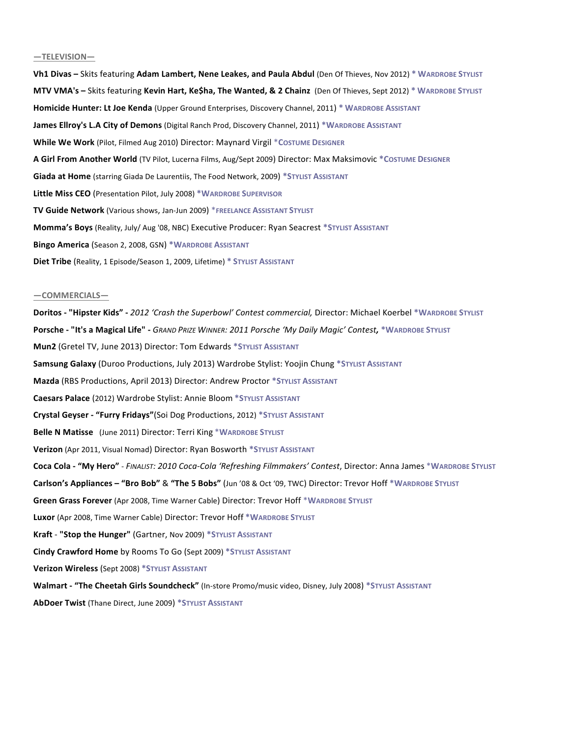#### **—TELEVISION—**

**Vh1 Divas** – Skits featuring Adam Lambert, Nene Leakes, and Paula Abdul (Den Of Thieves, Nov 2012) \* WARDROBE STYLIST **MTV VMA's –** Skits featuring **Kevin Hart, Ke\$ha, The Wanted, & 2 Chainz** (Den Of Thieves, Sept 2012) \* WARDROBE STYLIST **Homicide Hunter: Lt Joe Kenda** (Upper Ground Enterprises, Discovery Channel, 2011) \* WARDROBE ASSISTANT **James Ellroy's L.A City of Demons** (Digital Ranch Prod, Discovery Channel, 2011) \*WARDROBE ASSISTANT **While We Work** (Pilot, Filmed Aug 2010) Director: Maynard Virgil \*COSTUME DESIGNER **A Girl From Another World** (TV Pilot, Lucerna Films, Aug/Sept 2009) Director: Max Maksimovic \*Costume Designer **Giada at Home** (starring Giada De Laurentiis, The Food Network, 2009) \*STYLIST ASSISTANT Little Miss CEO (Presentation Pilot, July 2008) \*WARDROBE SUPERVISOR **TV Guide Network** (Various shows, Jan-Jun 2009) \*FREELANCE ASSISTANT STYLIST **Momma's Boys** (Reality, July/ Aug '08, NBC) Executive Producer: Ryan Seacrest \*STYLIST ASSISTANT **Bingo America** (Season 2, 2008, GSN) \*WARDROBE ASSISTANT **Diet Tribe** (Reality, 1 Episode/Season 1, 2009, Lifetime) \* STYLIST ASSISTANT

#### **—COMMERCIALS—**

**Doritos - "Hipster Kids" - 2012 'Crash the Superbowl' Contest commercial, Director: Michael Koerbel \*WARDROBE STYLIST Porsche - "It's a Magical Life" - GRAND PRIZE WINNER: 2011 Porsche 'My Daily Magic' Contest, \*WARDROBE STYLIST Mun2** (Gretel TV, June 2013) Director: Tom Edwards \*STYLIST ASSISTANT **Samsung Galaxy** (Duroo Productions, July 2013) Wardrobe Stylist: Yoojin Chung \*STYLIST ASSISTANT **Mazda** (RBS Productions, April 2013) Director: Andrew Proctor \*STYLIST ASSISTANT **Caesars Palace** (2012) Wardrobe Stylist: Annie Bloom \*STYLIST ASSISTANT **Crystal'Geyser'e "Furry'Fridays"**(Soi!Dog!Productions,!2012) **\*STYLIST'ASSISTANT Belle N Matisse** (June 2011) Director: Terri King \*WARDROBE STYLIST **Verizon** (Apr 2011, Visual Nomad) Director: Ryan Bosworth \*STYLIST ASSISTANT Coca Cola - "My Hero" - FINALIST: 2010 Coca-Cola 'Refreshing Filmmakers' Contest, Director: Anna James \*WARDROBE STYLIST **Carlson's Appliances - "Bro Bob" & "The 5 Bobs" (Jun '08 & Oct '09, TWC) Director: Trevor Hoff**  $*$ **WARDROBE STYLIST** Green Grass Forever (Apr 2008, Time Warner Cable) Director: Trevor Hoff \*WARDROBE STYLIST Luxor (Apr 2008, Time Warner Cable) Director: Trevor Hoff \*WARDROBE STYLIST **Kraft** - "Stop the Hunger" (Gartner, Nov 2009) \*STYLIST ASSISTANT **Cindy Crawford Home** by Rooms To Go (Sept 2009) \*STYLIST ASSISTANT **Verizon Wireless** (Sept 2008) \*STYLIST ASSISTANT **Walmart - "The Cheetah Girls Soundcheck"** (In-store Promo/music video, Disney, July 2008) \*STYLIST ASSISTANT **AbDoer Twist** (Thane Direct, June 2009) \*STYLIST ASSISTANT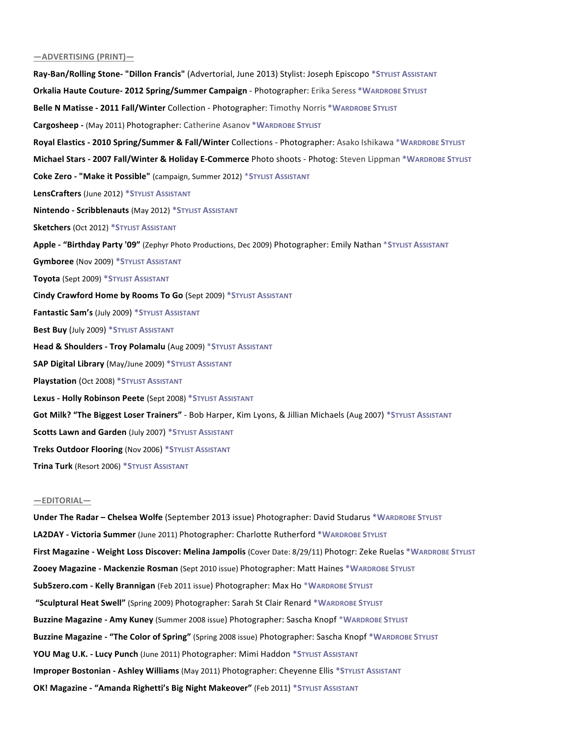### **—ADVERTISING'(PRINT)—**

Ray-Ban/Rolling Stone- "Dillon Francis" (Advertorial, June 2013) Stylist: Joseph Episcopo \*STYLIST ASSISTANT **Orkalia Haute Couture- 2012 Spring/Summer Campaign - Photographer: Erika Seress \*WARDROBE STYLIST** Belle N Matisse - 2011 Fall/Winter Collection - Photographer: Timothy Norris \*WARDROBE STYLIST **Cargosheep -** (May 2011) Photographer: Catherine Asanov \*WARDROBE STYLIST Royal Elastics - 2010 Spring/Summer & Fall/Winter Collections - Photographer: Asako Ishikawa \*WARDROBE STYLIST **Michael Stars - 2007 Fall/Winter & Holiday E-Commerce** Photo shoots - Photog: Steven Lippman \*WARDROBE STYLIST **Coke Zero - "Make it Possible"** (campaign, Summer 2012) \*STYLIST ASSISTANT **LensCrafters** (June 2012) \*STYLIST ASSISTANT **Nintendo - Scribblenauts** (May 2012) \*STYLIST ASSISTANT **Sketchers** (Oct 2012) \*STYLIST ASSISTANT Apple - "Birthday Party '09" (Zephyr Photo Productions, Dec 2009) Photographer: Emily Nathan \*STYLIST ASSISTANT **Gymboree** (Nov 2009) \*STYLIST ASSISTANT **Toyota** (Sept 2009) \*STYLIST ASSISTANT **Cindy Crawford Home by Rooms To Go** (Sept 2009) \*STYLIST ASSISTANT **Fantastic Sam's (July 2009) \*STYLIST ASSISTANT** Best Buy (July 2009) \*STYLIST ASSISTANT **Head & Shoulders - Troy Polamalu** (Aug 2009) \*STYLIST ASSISTANT **SAP Digital Library** (May/June 2009) \*STYLIST ASSISTANT **Playstation** (Oct 2008) \*STYLIST ASSISTANT **Lexus - Holly Robinson Peete** (Sept 2008) \*STYLIST ASSISTANT **Got Milk? "The Biggest Loser Trainers"** - Bob Harper, Kim Lyons, & Jillian Michaels (Aug 2007) \*STYLIST ASSISTANT **Scotts Lawn and Garden** (July 2007) \*STYLIST ASSISTANT **Treks Outdoor Flooring** (Nov 2006) \*STYLIST ASSISTANT **Trina'Turk** (Resort!2006) **\*STYLIST'ASSISTANT**

### **—EDITORIAL—**

**Under The Radar - Chelsea Wolfe** (September 2013 issue) Photographer: David Studarus \*WARDROBE STYLIST **LA2DAY - Victoria Summer** (June 2011) Photographer: Charlotte Rutherford \*WARDROBE STYLIST **First Magazine - Weight Loss Discover: Melina Jampolis** (Cover Date: 8/29/11) Photogr: Zeke Ruelas \*WARDROBE STYLIST **Zooey Magazine'e Mackenzie'Rosman** (Sept!2010!issue)!Photographer:!Matt!Haines **\*WARDROBE'STYLIST Sub5zero.com - Kelly Brannigan** (Feb 2011 issue) Photographer: Max Ho \*WARDROBE STYLIST **"Sculptural'Heat'Swell"** (Spring!2009)!Photographer:!Sarah!St!Clair!Renard **\*WARDROBE'STYLIST Buzzine Magazine - Amy Kuney** (Summer 2008 issue) Photographer: Sascha Knopf \*WARDROBE STYLIST **Buzzine Magazine - "The Color of Spring"** (Spring 2008 issue) Photographer: Sascha Knopf \*WARDROBE STYLIST **YOU Mag U.K. - Lucy Punch** (June 2011) Photographer: Mimi Haddon \*STYLIST ASSISTANT **Improper Bostonian - Ashley Williams** (May 2011) Photographer: Cheyenne Ellis \*STYLIST ASSISTANT **OK! Magazine - "Amanda Righetti's Big Night Makeover" (Feb 2011) \*STYLIST ASSISTANT**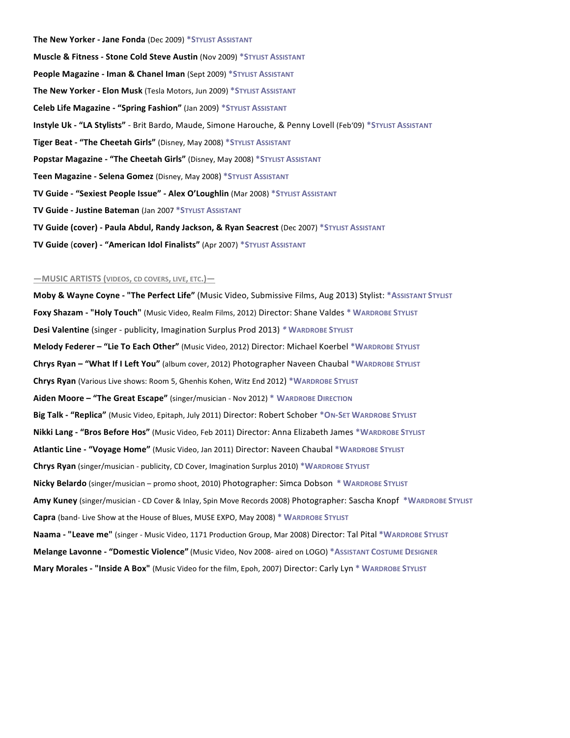**The New Yorker - Jane Fonda** (Dec 2009) \*STYLIST ASSISTANT **Muscle & Fitness - Stone Cold Steve Austin** (Nov 2009) \*STYLIST ASSISTANT **People Magazine - Iman & Chanel Iman (Sept 2009) \*STYLIST ASSISTANT The New Yorker - Elon Musk** (Tesla Motors, Jun 2009) \*STYLIST ASSISTANT **Celeb Life Magazine - "Spring Fashion"** (Jan 2009) \*STYLIST ASSISTANT **Instyle Uk - "LA Stylists"** - Brit Bardo, Maude, Simone Harouche, & Penny Lovell (Feb'09) \*STYLIST ASSISTANT **Tiger Beat - "The Cheetah Girls"** (Disney, May 2008) \*STYLIST ASSISTANT **Popstar Magazine - "The Cheetah Girls"** (Disney, May 2008) \*STYLIST ASSISTANT **Teen Magazine - Selena Gomez** (Disney, May 2008) \*STYLIST ASSISTANT **TV Guide - "Sexiest People Issue" - Alex O'Loughlin** (Mar 2008) \*STYLIST ASSISTANT **TV Guide - Justine Bateman** (Jan 2007 \*STYLIST ASSISTANT **TV Guide (cover) - Paula Abdul, Randy Jackson, & Ryan Seacrest** (Dec 2007) \*STYLIST ASSISTANT **TV Guide (cover) - "American Idol Finalists" (Apr 2007) \*STYLIST ASSISTANT** 

### **—MUSIC'ARTISTS'(VIDEOS, CD'COVERS, LIVE, ETC.)—**

**Moby & Wayne Coyne - "The Perfect Life"** (Music Video, Submissive Films, Aug 2013) Stylist: \*ASSISTANT STYLIST **Foxy Shazam - "Holy Touch"** (Music Video, Realm Films, 2012) Director: Shane Valdes \* WARDROBE STYLIST **Desi Valentine** (singer - publicity, Imagination Surplus Prod 2013) *\** WARDROBE STYLIST **Melody Federer - "Lie To Each Other"** (Music Video, 2012) Director: Michael Koerbel \*WARDROBE STYLIST **Chrys Ryan - "What If I Left You"** (album cover, 2012) Photographer Naveen Chaubal \*WARDROBE STYLIST **Chrys Ryan** (Various Live shows: Room 5, Ghenhis Kohen, Witz End 2012) \*WARDROBE STYLIST **Aiden Moore – "The Great Escape"** (singer/musician - Nov 2012) \* WARDROBE DIRECTION Big Talk - "Replica" (Music Video, Epitaph, July 2011) Director: Robert Schober \*ON-SET WARDROBE STYLIST **Nikki Lang - "Bros Before Hos"** (Music Video, Feb 2011) Director: Anna Elizabeth James \*WARDROBE STYLIST **Atlantic Line - "Voyage Home"** (Music Video, Jan 2011) Director: Naveen Chaubal \*WARDROBE STYLIST Chrys Ryan (singer/musician - publicity, CD Cover, Imagination Surplus 2010) \*WARDROBE STYLIST **Nicky Belardo** (singer/musician – promo shoot, 2010) Photographer: Simca Dobson \* WARDROBE STYLIST Amy Kuney (singer/musician - CD Cover & Inlay, Spin Move Records 2008) Photographer: Sascha Knopf \*WARDROBE STYLIST **Capra** (band- Live Show at the House of Blues, MUSE EXPO, May 2008) \* WARDROBE STYLIST **Naama - "Leave me"** (singer - Music Video, 1171 Production Group, Mar 2008) Director: Tal Pital \*WARDROBE STYLIST **Melange Lavonne - "Domestic Violence"** (Music Video, Nov 2008- aired on LOGO) \*ASSISTANT COSTUME DESIGNER **Mary Morales - "Inside A Box"** (Music Video for the film, Epoh, 2007) Director: Carly Lyn \* WARDROBE STYLIST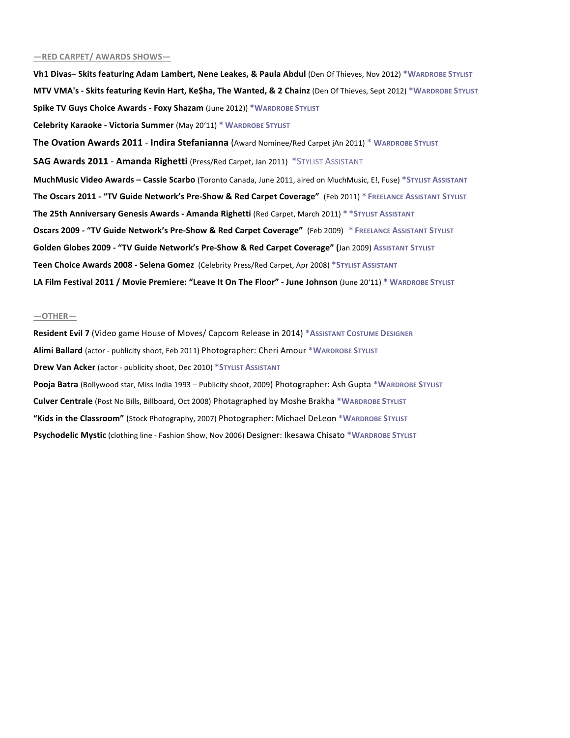### **—RED'CARPET/'AWARDS'SHOWS—**

**Vh1 Divas- Skits featuring Adam Lambert, Nene Leakes, & Paula Abdul** (Den Of Thieves, Nov 2012) \*WARDROBE STYLIST **MTV VMA's - Skits featuring Kevin Hart, Ke\$ha, The Wanted, & 2 Chainz** (Den Of Thieves, Sept 2012) \*WARDROBE STYLIST **Spike TV Guys Choice Awards - Foxy Shazam (June 2012)) \*WARDROBE STYLIST Celebrity Karaoke - Victoria Summer** (May 20'11) \* WARDROBE STYLIST **The Ovation Awards 2011 - Indira Stefanianna** (Award Nominee/Red Carpet jAn 2011) \* WARDROBE STYLIST **SAG Awards 2011 - Amanda Righetti** (Press/Red Carpet, Jan 2011) \*STYLIST ASSISTANT **MuchMusic Video Awards - Cassie Scarbo** (Toronto Canada, June 2011, aired on MuchMusic, E!, Fuse) \*STYLIST ASSISTANT **The Oscars 2011 - "TV Guide Network's Pre-Show & Red Carpet Coverage" (Feb 2011) \* FREELANCE ASSISTANT STYLIST The'25th'Anniversary'Genesis'Awards'e Amanda'Righetti** (Red!Carpet, March!2011)!**\* \*STYLIST'ASSISTANT Oscars 2009'e "TV'Guide'Network's'PreeShow'& Red'Carpet'Coverage"'** (Feb!2009)!**''\* FREELANCE'ASSISTANT STYLIST Golden'Globes 2009'e "TV'Guide'Network's'PreeShow'&'Red'Carpet'Coverage"'(**Jan!2009)!**ASSISTANT STYLIST Teen Choice Awards 2008 - Selena Gomez** (Celebrity Press/Red Carpet, Apr 2008) \*STYLIST ASSISTANT LA Film Festival 2011 / Movie Premiere: "Leave It On The Floor" - June Johnson (June 20'11) \* WARDROBE STYLIST

### **—OTHER—**

Resident Evil 7 (Video game House of Moves/ Capcom Release in 2014) \*ASSISTANT COSTUME DESIGNER **Alimi Ballard** (actor - publicity shoot, Feb 2011) Photographer: Cheri Amour \*WARDROBE STYLIST **Drew Van Acker** (actor - publicity shoot, Dec 2010) \*STYLIST ASSISTANT Pooja Batra (Bollywood star, Miss India 1993 – Publicity shoot, 2009) Photographer: Ash Gupta \*WARDROBE STYLIST **Culver Centrale** (Post No Bills, Billboard, Oct 2008) Photagraphed by Moshe Brakha \*WARDROBE STYLIST **"Kids'in'the'Classroom"** (Stock!Photography, 2007) Photographer:!Michael!DeLeon **\*WARDROBE'STYLIST Psychodelic Mystic** (clothing line - Fashion Show, Nov 2006) Designer: Ikesawa Chisato \*WARDROBE STYLIST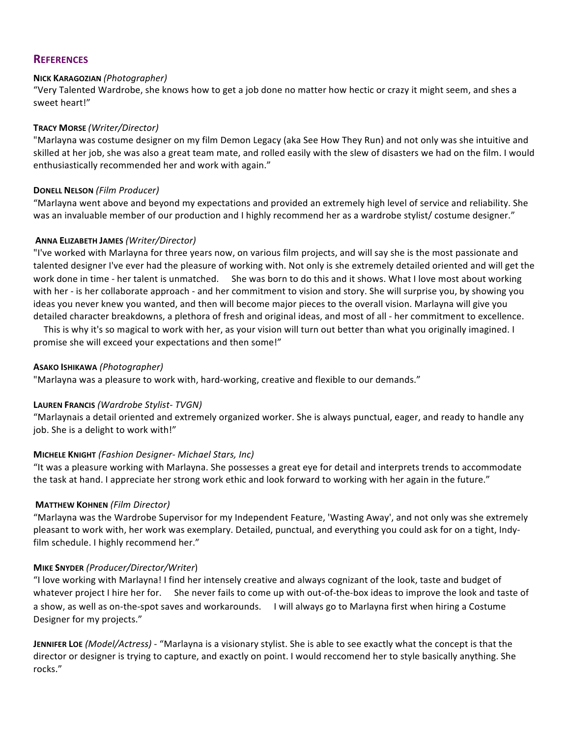# **REFERENCES**

## **NICK'KARAGOZIAN'***(Photographer)*

"Very Talented Wardrobe, she knows how to get a job done no matter how hectic or crazy it might seem, and shes a sweet heart!"

## **TRACY'MORSE** *(Writer/Director)*

"Marlayna was costume designer on my film Demon Legacy (aka See How They Run) and not only was she intuitive and skilled at her job, she was also a great team mate, and rolled easily with the slew of disasters we had on the film. I would enthusiastically recommended her and work with again."

## **DONELL'NELSON** *(Film\$Producer)*!!

"Marlayna went above and beyond my expectations and provided an extremely high level of service and reliability. She was an invaluable member of our production and I highly recommend her as a wardrobe stylist/ costume designer."

## **ANNA'ELIZABETH'JAMES** *(Writer/Director)\$*

"I've worked with Marlayna for three years now, on various film projects, and will say she is the most passionate and talented designer I've ever had the pleasure of working with. Not only is she extremely detailed oriented and will get the work done in time - her talent is unmatched. She was born to do this and it shows. What I love most about working with her - is her collaborate approach - and her commitment to vision and story. She will surprise you, by showing you ideas you never knew you wanted, and then will become major pieces to the overall vision. Marlayna will give you detailed character breakdowns, a plethora of fresh and original ideas, and most of all - her commitment to excellence.

This is why it's so magical to work with her, as your vision will turn out better than what you originally imagined. I promise she will exceed your expectations and then some!"

## **ASAKO'ISHIKAWA** *(Photographer)\$*

"Marlayna was a pleasure to work with, hard-working, creative and flexible to our demands."

### **LAUREN FRANCIS** *(Wardrobe Stylist-TVGN)*

"Marlaynais a detail oriented and extremely organized worker. She is always punctual, eager, and ready to handle any job. She is a delight to work with!"

# **MICHELE KNIGHT** *(Fashion Designer- Michael Stars, Inc)*

"It was a pleasure working with Marlayna. She possesses a great eye for detail and interprets trends to accommodate the task at hand. I appreciate her strong work ethic and look forward to working with her again in the future."

# **MATTHEW KOHNEN** (Film Director)

"Marlayna was the Wardrobe Supervisor for my Independent Feature, 'Wasting Away', and not only was she extremely pleasant to work with, her work was exemplary. Detailed, punctual, and everything you could ask for on a tight, Indyfilm schedule. I highly recommend her."

### **MIKE'SNYDER** *(Producer/Director/Writer*)!

"I love working with Marlayna! I find her intensely creative and always cognizant of the look, taste and budget of whatever project I hire her for. She never fails to come up with out-of-the-box ideas to improve the look and taste of a show, as well as on-the-spot saves and workarounds. I will always go to Marlayna first when hiring a Costume Designer for my projects."

**JENNIFER LOE** *(Model/Actress)* - "Marlayna is a visionary stylist. She is able to see exactly what the concept is that the director or designer is trying to capture, and exactly on point. I would reccomend her to style basically anything. She rocks."